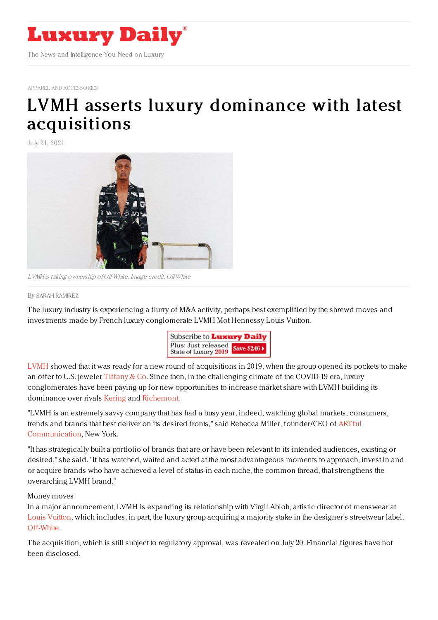

APPAREL AND [ACCESSORIES](https://www.luxurydaily.com/category/sectors/apparel-and-accessories/)

# LVMH asserts luxury dominance with latest [acquisitions](https://www.luxurydaily.com/lvmh-fashion-acquisitions-2021/)

July 21, 2021



LVMH is taking ownership of Off-White. Image credit: Off-White

#### By SARAH [RAMIREZ](file:///author/sarah-ramirez)

The luxury industry is experiencing a flurry of M&A activity, perhaps best exemplified by the shrewd moves and investments made by French luxury conglomerate LVMH Mot Hennessy Louis Vuitton.



[LVMH](https://www.lvmh.com/) showed that it was ready for a new round of acquisitions in 2019, when the group opened its pockets to make an offer to U.S. jeweler [Tiffany](https://www.tiffany.com/) & Co. Since then, in the challenging climate of the COVID-19 era, luxury conglomerates have been paying up for new opportunities to increase market share with LVMH building its dominance over rivals [Kering](https://www.kering.com/en/) and [Richemont](https://www.richemont.com/).

"LVMH is an extremely savvy company that has had a busy year, indeed, watching global markets, consumers, trends and brands that best deliver on its desired fronts," said Rebecca Miller, founder/CEO of ARTful [Communication,](https://artfulcomglobal.com/) New York.

"It has strategically built a portfolio of brands that are or have been relevant to its intended audiences, existing or desired," she said. "It has watched, waited and acted at the most advantageous moments to approach, invest in and or acquire brands who have achieved a level of status in each niche, the common thread, that strengthens the overarching LVMH brand."

#### Money moves

In a major announcement, LVMH is expanding its relationship with Virgil Abloh, artistic director of menswear at Louis [Vuitton,](https://us.louisvuitton.com/eng-us/homepage) which includes, in part, the luxury group acquiring a majority stake in the designer's streetwear label, [Off-White](https://www.off---white.com/en-us/).

The acquisition, which is still subject to regulatory approval, was revealed on July 20. Financial figures have not been disclosed.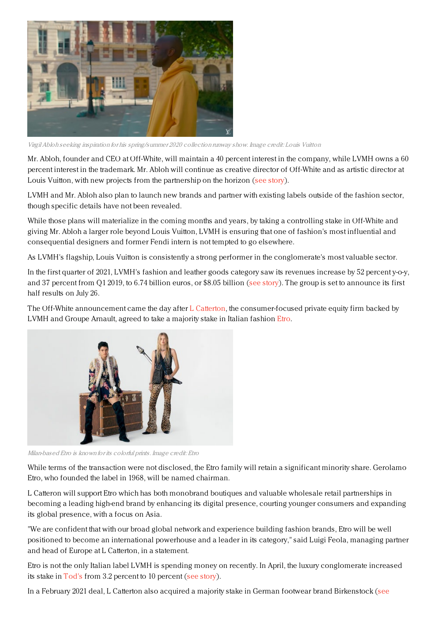

VirgilAbloh seeking inspiration for his spring/summer 2020 collection runway show. Image credit: Louis Vuitton

Mr. Abloh, founder and CEO at Off-White, will maintain a 40 percent interest in the company, while LVMH owns a 60 percent interest in the trademark. Mr. Abloh will continue as creative director of Off-White and as artistic director at Louis Vuitton, with new projects from the partnership on the horizon (see [story](https://www.luxurydaily.com/lvmh-acquires-majority-stake-in-off-white-expanding-relationship-with-virgil-abloh/)).

LVMH and Mr. Abloh also plan to launch new brands and partner with existing labels outside of the fashion sector, though specific details have not been revealed.

While those plans will materialize in the coming months and years, by taking a controlling stake in Off-White and giving Mr. Abloh a larger role beyond Louis Vuitton, LVMH is ensuring that one of fashion's most influential and consequential designers and former Fendi intern is not tempted to go elsewhere.

As LVMH's flagship, Louis Vuitton is consistently a strong performer in the conglomerate's most valuable sector.

In the first quarter of 2021, LVMH's fashion and leather goods category saw its revenues increase by 52 percent y-o-y, and 37 percent from Q1 2019, to 6.74 billion euros, or \$8.05 billion (see [story](https://www.luxurydaily.com/lvmh-q1-2021-revenue/)). The group is set to announce its first half results on July 26.

The Off-White announcement came the day after L [Catterton](https://www.lcatterton.com/), the consumer-focused private equity firm backed by LVMH and Groupe Arnault, agreed to take a majority stake in Italian fashion [Etro](https://www.etro.com/us-en/).



Milan-based Etro is known for its colorful prints. Image credit: Etro

While terms of the transaction were not disclosed, the Etro family will retain a significant minority share. Gerolamo Etro, who founded the label in 1968, will be named chairman.

L Catteron will support Etro which has both monobrand boutiques and valuable wholesale retail partnerships in becoming a leading high-end brand by enhancing its digital presence, courting younger consumers and expanding its global presence, with a focus on Asia.

"We are confident that with our broad global network and experience building fashion brands, Etro will be well positioned to become an international powerhouse and a leader in its category," said Luigi Feola, managing partner and head of Europe at L Catterton, in a statement.

Etro is not the only Italian label LVMH is spending money on recently. In April, the luxury conglomerate increased its stake in [Tod's](https://www.tods.com/us-en/home.html) from 3.2 percent to 10 percent (see [story](https://www.luxurydaily.com/lvmh-increases-share-in-tods-to-10pc/)).

In a February 2021 deal, L Catterton also acquired a majority stake in German footwear brand [Birkenstock](https://www.luxurydaily.com/birkenstock-sells-majority-stake-to-lvmh-backed-firm/) (see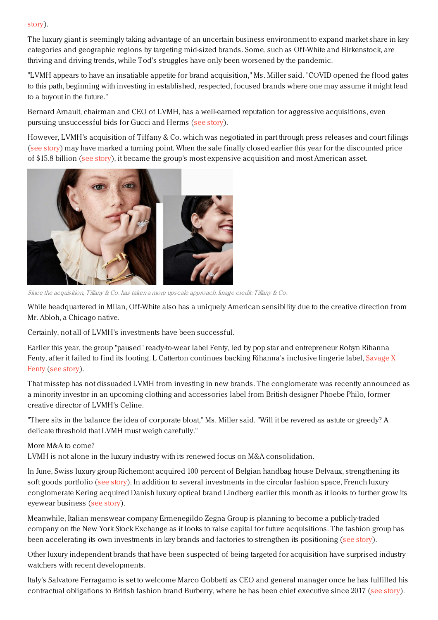### story).

The luxury giant is seemingly taking advantage of an uncertain business environment to expand market share in key categories and geographic regions by targeting mid-sized brands. Some, such as Off-White and Birkenstock, are thriving and driving trends, while Tod's struggles have only been worsened by the pandemic.

"LVMH appears to have an insatiable appetite for brand acquisition," Ms. Miller said. "COVID opened the flood gates to this path, beginning with investing in established, respected, focused brands where one may assume it might lead to a buyout in the future."

Bernard Arnault, chairman and CEO of LVMH, has a well-earned reputation for aggressive acquisitions, even pursuing unsuccessful bids for Gucci and Herms (see [story](https://www.luxurydaily.com/what-would-happen-if-lvmh-took-over-hermes/)).

However, LVMH's acquisition of Tiffany & Co. which was negotiated in part through press releases and court filings (see [story](https://www.luxurydaily.com/lvmh-powers-ahead-with-revised-15-8bn-deal-for-tiffany/)) may have marked a turning point. When the sale finally closed earlier this year for the discounted price of \$15.8 billion (see [story](https://www.luxurydaily.com/lvmh-taps-new-management-team-at-tiffany-co-to-complete-takeover/)), it became the group's most expensive acquisition and most American asset.



Since the acquisition, Tiffany & Co. has taken a more upscale approach. Image credit: Tiffany & Co.

While headquartered in Milan, Off-White also has a uniquely American sensibility due to the creative direction from Mr. Abloh, a Chicago native.

Certainly, not all of LVMH's investments have been successful.

Earlier this year, the group "paused" ready-to-wear label Fenty, led by pop star and entrepreneur Robyn Rihanna Fenty, after it failed to find its footing. L Catterton [continues](https://www.savagex.com/) backing Rihanna's inclusive lingerie label, Savage X Fenty (see [story](https://www.luxurydaily.com/lvmh-faces-setback-with-fenty-puts-fashion-label-on-hold/)).

That misstep has not dissuaded LVMH from investing in new brands. The conglomerate was recently announced as a minority investor in an upcoming clothing and accessories label from British designer Phoebe Philo, former creative director of LVMH's Celine.

"There sits in the balance the idea of corporate bloat," Ms. Miller said. "Will it be revered as astute or greedy? A delicate threshold that LVMH must weigh carefully."

## More M&A to come?

LVMH is not alone in the luxury industry with its renewed focus on M&A consolidation.

In June, Swiss luxury group Richemont acquired 100 percent of Belgian handbag house Delvaux, strengthening its soft goods portfolio (see [story](https://www.luxurydaily.com/richemont-acquires-delvaux/)). In addition to several investments in the circular fashion space, French luxury conglomerate Kering acquired Danish luxury optical brand Lindberg earlier this month as it looks to further grow its eyewear business (see [story](https://www.luxurydaily.com/kering-eyewear-lindberg/)).

Meanwhile, Italian menswear company Ermenegildo Zegna Group is planning to become a publicly-traded company on the New York Stock Exchange as it looks to raise capital for future acquisitions. The fashion group has been accelerating its own investments in key brands and factories to strengthen its positioning (see [story](https://www.luxurydaily.com/ermenegildo-zegna-public-company/)).

Other luxury independent brands that have been suspected of being targeted for acquisition have surprised industry watchers with recent developments.

Italy's Salvatore Ferragamo is set to welcome Marco Gobbetti as CEO and general manager once he has fulfilled his contractual obligations to British fashion brand Burberry, where he has been chief executive since 2017 (see [story](https://www.luxurydaily.com/marco-gobbetti-ferragamo-ceo/)).